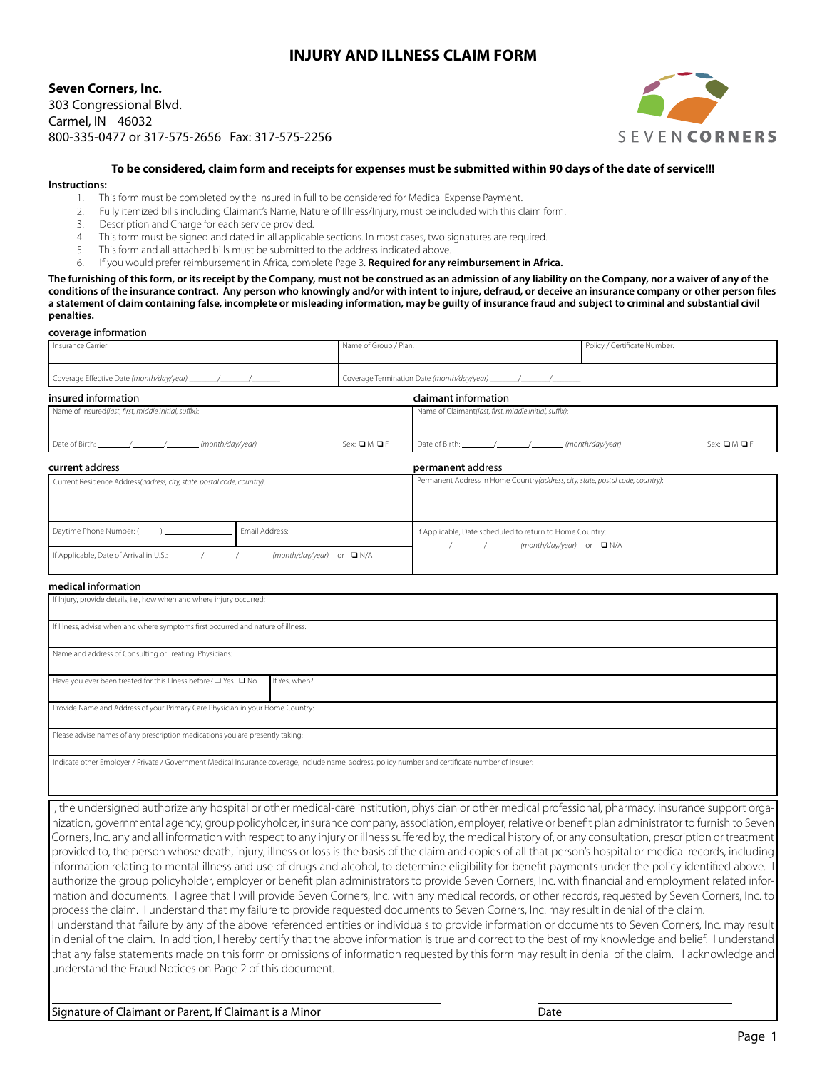# **INJURY AND ILLNESS CLAIM FORM**

## **Seven Corners, Inc.** 303 Congressional Blvd. Carmel, IN 46032

800-335-0477 or 317-575-2656 Fax: 317-575-2256



#### **To be considered, claim form and receipts for expenses must be submitted within 90 days of the date of service!!!**

#### **Instructions:**

**coverage** information

- 1. This form must be completed by the Insured in full to be considered for Medical Expense Payment.
- 2. Fully itemized bills including Claimant's Name, Nature of Illness/Injury, must be included with this claim form.
- 3. Description and Charge for each service provided.
- 4. This form must be signed and dated in all applicable sections. In most cases, two signatures are required.
- 5. This form and all attached bills must be submitted to the address indicated above.
- 6. If you would prefer reimbursement in Africa, complete Page 3. **Required for any reimbursement in Africa.**

**The furnishing of this form, or its receipt by the Company, must not be construed as an admission of any liability on the Company, nor a waiver of any of the conditions of the insurance contract. Any person who knowingly and/or with intent to injure, defraud, or deceive an insurance company or other person files**  a statement of claim containing false, incomplete or misleading information, may be quilty of insurance fraud and subject to criminal and substantial civil **penalties.**

| coverage imormation.                                                             |  |                                                          |                                                                                                                                                                                                                                                                                                                                                                                                                                   |                                                                                |                            |
|----------------------------------------------------------------------------------|--|----------------------------------------------------------|-----------------------------------------------------------------------------------------------------------------------------------------------------------------------------------------------------------------------------------------------------------------------------------------------------------------------------------------------------------------------------------------------------------------------------------|--------------------------------------------------------------------------------|----------------------------|
| Insurance Carrier:                                                               |  | Name of Group / Plan:                                    |                                                                                                                                                                                                                                                                                                                                                                                                                                   | Policy / Certificate Number:                                                   |                            |
|                                                                                  |  |                                                          |                                                                                                                                                                                                                                                                                                                                                                                                                                   |                                                                                |                            |
| insured information                                                              |  |                                                          | claimant information                                                                                                                                                                                                                                                                                                                                                                                                              |                                                                                |                            |
| Name of Insured(last, first, middle initial, suffix):                            |  |                                                          | Name of Claimant(last, first, middle initial, suffix):                                                                                                                                                                                                                                                                                                                                                                            |                                                                                |                            |
| (month/day/year)                                                                 |  | Sex: $\square M \square F$                               |                                                                                                                                                                                                                                                                                                                                                                                                                                   | (month/day/year)                                                               | Sex: $\square M \square F$ |
| current address                                                                  |  |                                                          | permanent address                                                                                                                                                                                                                                                                                                                                                                                                                 |                                                                                |                            |
| Current Residence Address(address, city, state, postal code, country):           |  |                                                          |                                                                                                                                                                                                                                                                                                                                                                                                                                   | Permanent Address In Home Country(address, city, state, postal code, country): |                            |
| Email Address:<br>Daytime Phone Number: (<br>$\mathbf{1}$                        |  | If Applicable, Date scheduled to return to Home Country: |                                                                                                                                                                                                                                                                                                                                                                                                                                   |                                                                                |                            |
|                                                                                  |  |                                                          | $\frac{1}{\sqrt{1-\frac{1}{\sqrt{1-\frac{1}{\sqrt{1-\frac{1}{\sqrt{1-\frac{1}{\sqrt{1-\frac{1}{\sqrt{1-\frac{1}{\sqrt{1-\frac{1}{\sqrt{1-\frac{1}{\sqrt{1-\frac{1}{\sqrt{1-\frac{1}{\sqrt{1-\frac{1}{\sqrt{1-\frac{1}{\sqrt{1-\frac{1}{\sqrt{1-\frac{1}{\sqrt{1-\frac{1}{\sqrt{1-\frac{1}{\sqrt{1-\frac{1}{\sqrt{1-\frac{1}{\sqrt{1-\frac{1}{\sqrt{1-\frac{1}{\sqrt{1-\frac{1}{\sqrt{1-\frac{1}{\sqrt{1-\frac{1}{\sqrt{1-\frac{1$ |                                                                                |                            |
| medical information                                                              |  |                                                          |                                                                                                                                                                                                                                                                                                                                                                                                                                   |                                                                                |                            |
| If Injury, provide details, i.e., how when and where injury occurred:            |  |                                                          |                                                                                                                                                                                                                                                                                                                                                                                                                                   |                                                                                |                            |
| If Illness, advise when and where symptoms first occurred and nature of illness: |  |                                                          |                                                                                                                                                                                                                                                                                                                                                                                                                                   |                                                                                |                            |
| Name and address of Consulting or Treating Physicians:                           |  |                                                          |                                                                                                                                                                                                                                                                                                                                                                                                                                   |                                                                                |                            |

Have you ever been treated for this Illness before?  $\Box$  Yes  $\Box$  No If Yes, when? Provide Name and Address of your Primary Care Physician in your Home Country:

Please advise names of any prescription medications you are presently taking:

Indicate other Employer / Private / Government Medical Insurance coverage, include name, address, policy number and certificate number of Insurer:

I, the undersigned authorize any hospital or other medical-care institution, physician or other medical professional, pharmacy, insurance support organization, governmental agency, group policyholder, insurance company, association, employer, relative or benefit plan administrator to furnish to Seven Corners, Inc. any and all information with respect to any injury or illness suffered by, the medical history of, or any consultation, prescription or treatment provided to, the person whose death, injury, illness or loss is the basis of the claim and copies of all that person's hospital or medical records, including information relating to mental illness and use of drugs and alcohol, to determine eligibility for benefit payments under the policy identified above. I authorize the group policyholder, employer or benefit plan administrators to provide Seven Corners, Inc. with financial and employment related information and documents. I agree that I will provide Seven Corners, Inc. with any medical records, or other records, requested by Seven Corners, Inc. to process the claim. I understand that my failure to provide requested documents to Seven Corners, Inc. may result in denial of the claim. I understand that failure by any of the above referenced entities or individuals to provide information or documents to Seven Corners, Inc. may result in denial of the claim. In addition, I hereby certify that the above information is true and correct to the best of my knowledge and belief. I understand that any false statements made on this form or omissions of information requested by this form may result in denial of the claim. I acknowledge and

understand the Fraud Notices on Page 2 of this document.

Signature of Claimant or Parent, If Claimant is a Minor **Date of Claimant is a Minor** Date

l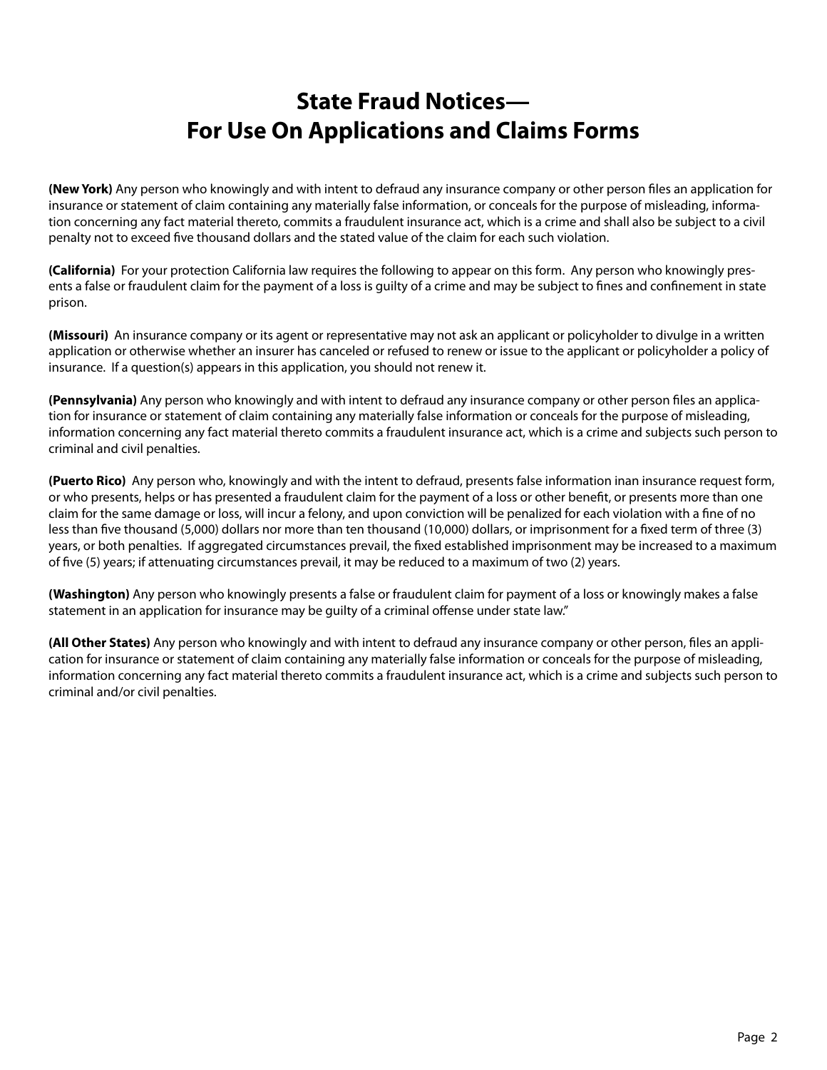# **State Fraud Notices— For Use On Applications and Claims Forms**

**(New York)** Any person who knowingly and with intent to defraud any insurance company or other person files an application for insurance or statement of claim containing any materially false information, or conceals for the purpose of misleading, information concerning any fact material thereto, commits a fraudulent insurance act, which is a crime and shall also be subject to a civil penalty not to exceed five thousand dollars and the stated value of the claim for each such violation.

**(California)** For your protection California law requires the following to appear on this form. Any person who knowingly presents a false or fraudulent claim for the payment of a loss is guilty of a crime and may be subject to fines and confinement in state prison.

**(Missouri)** An insurance company or its agent or representative may not ask an applicant or policyholder to divulge in a written application or otherwise whether an insurer has canceled or refused to renew or issue to the applicant or policyholder a policy of insurance. If a question(s) appears in this application, you should not renew it.

**(Pennsylvania)** Any person who knowingly and with intent to defraud any insurance company or other person files an application for insurance or statement of claim containing any materially false information or conceals for the purpose of misleading, information concerning any fact material thereto commits a fraudulent insurance act, which is a crime and subjects such person to criminal and civil penalties.

**(Puerto Rico)** Any person who, knowingly and with the intent to defraud, presents false information inan insurance request form, or who presents, helps or has presented a fraudulent claim for the payment of a loss or other benefit, or presents more than one claim for the same damage or loss, will incur a felony, and upon conviction will be penalized for each violation with a fine of no less than five thousand (5,000) dollars nor more than ten thousand (10,000) dollars, or imprisonment for a fixed term of three (3) years, or both penalties. If aggregated circumstances prevail, the fixed established imprisonment may be increased to a maximum of five (5) years; if attenuating circumstances prevail, it may be reduced to a maximum of two (2) years.

**(Washington)** Any person who knowingly presents a false or fraudulent claim for payment of a loss or knowingly makes a false statement in an application for insurance may be guilty of a criminal offense under state law."

**(All Other States)** Any person who knowingly and with intent to defraud any insurance company or other person, files an application for insurance or statement of claim containing any materially false information or conceals for the purpose of misleading, information concerning any fact material thereto commits a fraudulent insurance act, which is a crime and subjects such person to criminal and/or civil penalties.